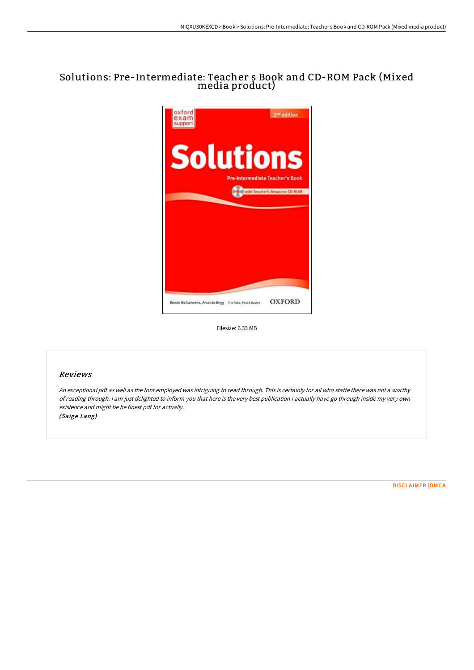# Solutions: Pre-Intermediate: Teacher s Book and CD-ROM Pack (Mixed media product)



Filesize: 6.33 MB

### Reviews

An exceptional pdf as well as the font employed was intriguing to read through. This is certainly for all who statte there was not <sup>a</sup> worthy of reading through. <sup>I</sup> am just delighted to inform you that here is the very best publication i actually have go through inside my very own existence and might be he finest pdf for actually.

(Saige Lang)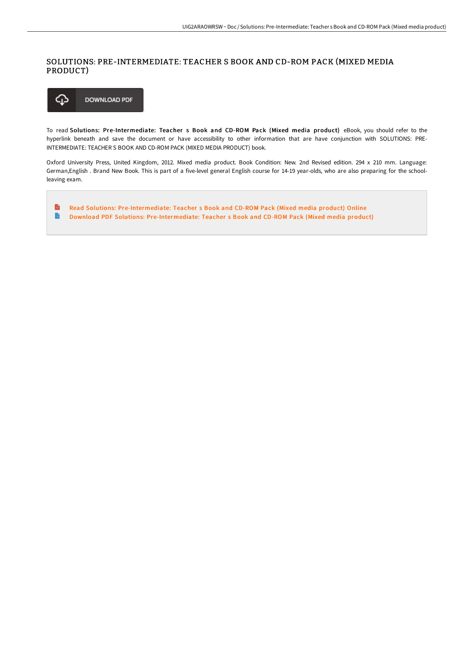## SOLUTIONS: PRE-INTERMEDIATE: TEACHER S BOOK AND CD-ROM PACK (MIXED MEDIA PRODUCT)



To read Solutions: Pre-Intermediate: Teacher s Book and CD-ROM Pack (Mixed media product) eBook, you should refer to the hyperlink beneath and save the document or have accessibility to other information that are have conjunction with SOLUTIONS: PRE-INTERMEDIATE: TEACHER S BOOK AND CD-ROM PACK (MIXED MEDIA PRODUCT) book.

Oxford University Press, United Kingdom, 2012. Mixed media product. Book Condition: New. 2nd Revised edition. 294 x 210 mm. Language: German,English . Brand New Book. This is part of a five-level general English course for 14-19 year-olds, who are also preparing for the schoolleaving exam.